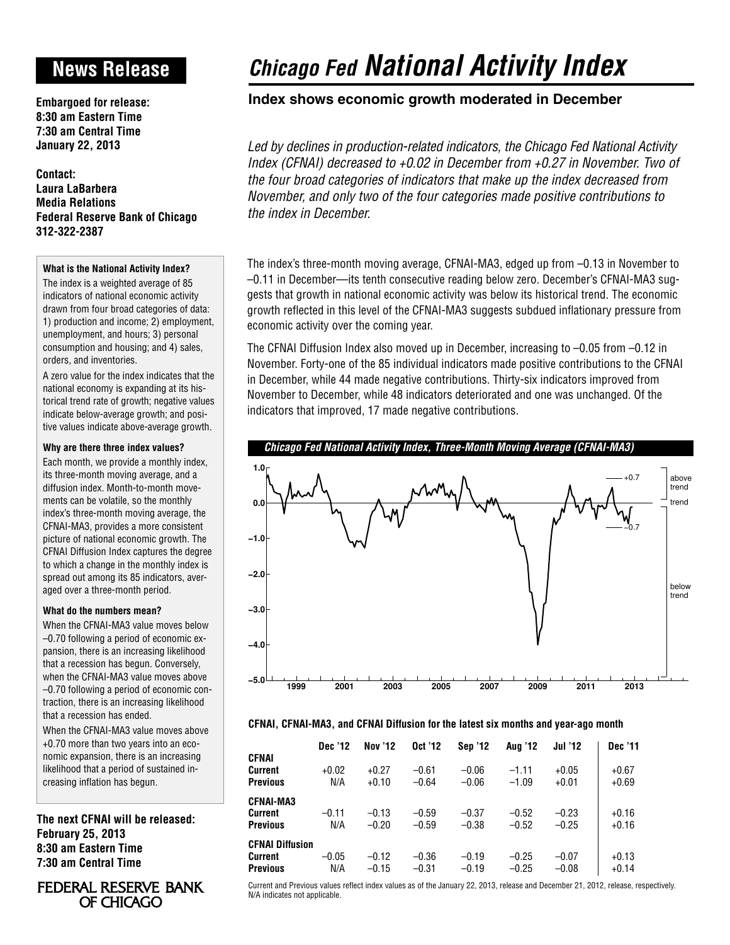## **News Release**

**Embargoed for release: 8:30 am Eastern Time 7:30 am Central Time January 22, 2013**

**Contact: Laura LaBarbera Media Relations Federal Reserve Bank of Chicago 312-322-2387**

### **What is the National Activity Index?**

The index is a weighted average of 85 indicators of national economic activity drawn from four broad categories of data: 1) production and income; 2) employment, unemployment, and hours; 3) personal consumption and housing; and 4) sales, orders, and inventories.

A zero value for the index indicates that the national economy is expanding at its historical trend rate of growth; negative values indicate below-average growth; and positive values indicate above-average growth.

### **Why are there three index values?**

Each month, we provide a monthly index, its three-month moving average, and a diffusion index. Month-to-month movements can be volatile, so the monthly index's three-month moving average, the CFNAI-MA3, provides a more consistent picture of national economic growth. The CFNAI Diffusion Index captures the degree to which a change in the monthly index is spread out among its 85 indicators, averaged over a three-month period.

### **What do the numbers mean?**

When the CFNAI-MA3 value moves below –0.70 following a period of economic expansion, there is an increasing likelihood that a recession has begun. Conversely, when the CFNAI-MA3 value moves above –0.70 following a period of economic contraction, there is an increasing likelihood that a recession has ended.

When the CFNAI-MA3 value moves above +0.70 more than two years into an economic expansion, there is an increasing likelihood that a period of sustained increasing inflation has begun.

**The next CFNAI will be released: February 25, 2013 8:30 am Eastern Time 7:30 am Central Time**

### FEDERAL RESERVE BANK OF CHICAGO

# *Chicago Fed National Activity Index*

### **Index shows economic growth moderated in December**

*Led by declines in production-related indicators, the Chicago Fed National Activity Index (CFNAI) decreased to +0.02 in December from +0.27 in November. Two of the four broad categories of indicators that make up the index decreased from November, and only two of the four categories made positive contributions to the index in December.*

The index's three-month moving average, CFNAI-MA3, edged up from –0.13 in November to –0.11 in December—its tenth consecutive reading below zero. December's CFNAI-MA3 suggests that growth in national economic activity was below its historical trend. The economic growth reflected in this level of the CFNAI-MA3 suggests subdued inflationary pressure from economic activity over the coming year.

The CFNAI Diffusion Index also moved up in December, increasing to –0.05 from –0.12 in November. Forty-one of the 85 individual indicators made positive contributions to the CFNAI in December, while 44 made negative contributions. Thirty-six indicators improved from November to December, while 48 indicators deteriorated and one was unchanged. Of the indicators that improved, 17 made negative contributions.





### **CFNAI, CFNAI-MA3, and CFNAI Diffusion for the latest six months and year-ago month**

|                        | Dec '12 | <b>Nov '12</b> | Oct '12 | <b>Sep '12</b> | <b>Aug '12</b> | <b>Jul '12</b> | Dec '11 |
|------------------------|---------|----------------|---------|----------------|----------------|----------------|---------|
| <b>CFNAI</b>           |         |                |         |                |                |                |         |
| <b>Current</b>         | $+0.02$ | $+0.27$        | $-0.61$ | $-0.06$        | $-1.11$        | $+0.05$        | $+0.67$ |
| <b>Previous</b>        | N/A     | $+0.10$        | $-0.64$ | $-0.06$        | $-1.09$        | $+0.01$        | $+0.69$ |
| <b>CFNAI-MA3</b>       |         |                |         |                |                |                |         |
| <b>Current</b>         | $-0.11$ | $-0.13$        | $-0.59$ | $-0.37$        | $-0.52$        | $-0.23$        | $+0.16$ |
| <b>Previous</b>        | N/A     | $-0.20$        | $-0.59$ | $-0.38$        | $-0.52$        | $-0.25$        | $+0.16$ |
| <b>CFNAI Diffusion</b> |         |                |         |                |                |                |         |
| <b>Current</b>         | $-0.05$ | $-0.12$        | $-0.36$ | $-0.19$        | $-0.25$        | $-0.07$        | $+0.13$ |
| <b>Previous</b>        | N/A     | $-0.15$        | $-0.31$ | $-0.19$        | $-0.25$        | $-0.08$        | $+0.14$ |

Current and Previous values reflect index values as of the January 22, 2013, release and December 21, 2012, release, respectively. N/A indicates not applicable.